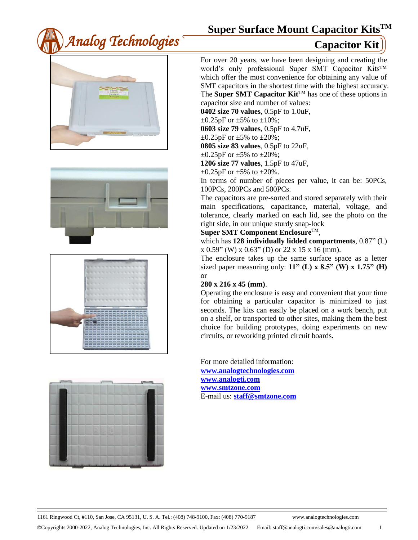









For over 20 years, we have been designing and creating the world's only professional Super SMT Capacitor Kits™ which offer the most convenience for obtaining any value of SMT capacitors in the shortest time with the highest accuracy. The **Super SMT Capacitor Kit™** has one of these options in capacitor size and number of values:

**0402 size 70 values**, 0.5pF to 1.0uF,

 $\pm 0.25$ pF or  $\pm 5\%$  to  $\pm 10\%$ ;

**0603 size 79 values**, 0.5pF to 4.7uF,

 $\pm 0.25$ pF or  $\pm 5\%$  to  $\pm 20\%$ ;

**0805 size 83 values**, 0.5pF to 22uF,

 $\pm 0.25$ pF or  $\pm 5\%$  to  $\pm 20\%$ ;

**1206 size 77 values**, 1.5pF to 47uF,

 $\pm 0.25$ pF or  $\pm 5\%$  to  $\pm 20\%$ .

In terms of number of pieces per value, it can be: 50PCs, 100PCs, 200PCs and 500PCs.

The capacitors are pre-sorted and stored separately with their main specifications, capacitance, material, voltage, and tolerance, clearly marked on each lid, see the photo on the right side, in our unique sturdy snap-lock

### **Super SMT Component Enclosure**TM,

which has **128 individually lidded compartments**, 0.87" (L)  $x 0.59$ " (W)  $x 0.63$ " (D) or 22  $x 15 x 16$  (mm).

The enclosure takes up the same surface space as a letter sized paper measuring only: **11" (L) x 8.5" (W) x 1.75" (H)**  or

### **280 x 216 x 45 (mm)**.

Operating the enclosure is easy and convenient that your time for obtaining a particular capacitor is minimized to just seconds. The kits can easily be placed on a work bench, put on a shelf, or transported to other sites, making them the best choice for building prototypes, doing experiments on new circuits, or reworking printed circuit boards.

For more detailed information: **[www.analogtechnologies.com](http://www.analogtechnologies.com/) [www.analogti.com](http://www.analogti.com/) [www.smtzone.com](http://www.smtzone.com/)** E-mail us: **[staff@smtzone.com](mailto:staff@smtzone.com)**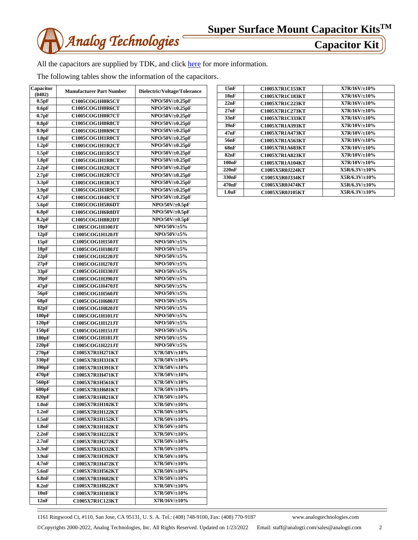

All the capacitors are supplied by TDK, and click [here](http://www.tdk.co.jp/index.htm) for more information.

The following tables show the information of the capacitors.

| Capacitor<br>(0402) | <b>Manufacturer Part Number</b> | Dielectric/Voltage/Tolerance |
|---------------------|---------------------------------|------------------------------|
| 0.5pF               | C1005COG1H0R5CT                 | NPO/50V/±0.25pF              |
| 0.6pF               | C1005COG1H0R6CT                 | NPO/50V/±0.25pF              |
| 0.7pF               | C1005COG1H0R7CT                 | NPO/50V/±0.25pF              |
|                     |                                 |                              |
| 0.8pF               | C1005COG1H0R8CT                 | NPO/50V/±0.25pF              |
| 0.9 <sub>pF</sub>   | C1005COG1H0R9CT                 | NPO/50V/±0.25pF              |
| 1.0pF               | C1005COG1H1R0CT                 | NPO/50V/±0.25pF              |
| 1.2pF               | C1005COG1H1R2CT                 | NPO/50V/±0.25pF              |
| 1.5pF               | C1005COG1H1R5CT                 | NPO/50V/±0.25pF              |
| 1.8pF               | C1005COG1H1R8CT                 | NPO/50V/±0.25pF              |
| 2.2pF               | C1005COG1H2R2CT                 | NPO/50V/±0.25pF              |
| 2.7pF               | C1005COG1H2R7CT                 | NPO/50V/±0.25pF              |
| 3.3pF               | C1005COG1H3R3CT                 | NPO/50V/±0.25pF              |
| 3.9pF               | C1005COG1H3R9CT                 | NPO/50V/±0.25pF              |
| 4.7pF               | C1005COG1H4R7CT                 | NPO/50V/±0.25pF              |
| 5.6pF               | C1005COG1H5R6DT                 | $NPO/50V/\pm0.5pF$           |
| 6.8pF               | C1005COG1H6R8DT                 | NPO/50V/±0.5pF               |
| 8.2pF               | C1005COG1H8R2DT                 | NPO/50V/±0.5pF               |
| 10pF                | C1005COG1H100JT                 | $NPO/50V/\pm 5%$             |
| 12pF                | C1005COG1H120JT                 | NPO/50V/±5%                  |
| 15pF                | C1005COG1H150JT                 | NPO/50V/±5%                  |
| 18pF                | C1005COG1H180JT                 | $NPO/50V/\pm 5%$             |
| 22pF                | C1005COG1H220JT                 | $NPO/50V/5\%$                |
| 27pF                |                                 | $NPO/50V/5\%$                |
|                     | C1005COG1H270JT                 | $NPO/50V/\pm 5%$             |
| 33pF                | C1005COG1H330JT                 | NPO/50V/±5%                  |
| 39pF                | C1005COG1H390JT                 |                              |
| 47pF                | C1005COG1H470JT                 | $NPO/50V/5\%$                |
| 56pF                | C1005COG1H560JT                 | $NPO/50V/\pm 5%$             |
| 68pF                | C1005COG1H680JT                 | $NPO/50V/\pm 5%$             |
| 82pF                | <b>C1005COG1H820JT</b>          | $NPO/50V/\pm 5%$             |
| 100pF               | C1005COG1H101JT                 | NPO/50V/±5%                  |
| 120pF               | C1005COG1H121JT                 | $NPO/50V/\pm 5%$             |
| 150pF               | C1005COG1H151JT                 | $NPO/50V/5\%$                |
| 180 <sub>pF</sub>   | C1005COG1H181JT                 | $NPO/50V/\pm 5%$             |
| 220pF               | C1005COG1H221JT                 | $NPO/50V/5\%$                |
| 270pF               | C1005X7R1H271KT                 | X7R/50V/±10%                 |
| 330pF               | C1005X7R1H331KT                 | X7R/50V/±10%                 |
| 390pF               | C1005X7R1H391KT                 | X7R/50V/±10%                 |
| 470pF               | C1005X7R1H471KT                 | X7R/50V/±10%                 |
| 560pF               | C1005X7R1H561KT                 | X7R/50V/±10%                 |
| 680pF               | <b>C1005X7R1H681KT</b>          | X7R/50V/±10%                 |
| 820pF               | <b>C1005X7R1H821KT</b>          | X7R/50V/±10%                 |
| 1.0 <sub>nF</sub>   | <b>C1005X7R1H102KT</b>          | $X7R/50V/\pm 10\%$           |
| 1.2nF               | C1005X7R1H122KT                 | X7R/50V/±10%                 |
| 1.5nF               | C1005X7R1H152KT                 | X7R/50V/±10%                 |
|                     |                                 | X7R/50V/±10%                 |
| 1.8nF               | C1005X7R1H182KT                 | X7R/50V/±10%                 |
| 2.2nF               | C1005X7R1H222KT                 |                              |
| 2.7nF               | C1005X7R1H272KT                 | X7R/50V/±10%                 |
| 3.3nF               | C1005X7R1H332KT                 | $X7R/50V/\pm 10\%$           |
| 3.9nF               | C1005X7R1H392KT                 | X7R/50V/±10%                 |
| 4.7nF               | C1005X7R1H472KT                 | X7R/50V/±10%                 |
| 5.6nF               | C1005X7R1H562KT                 | X7R/50V/±10%                 |
| 6.8 <sub>n</sub> F  | C1005X7R1H682KT                 | X7R/50V/±10%                 |
| 8.2nF               | C1005X7R1H822KT                 | $X7R/50V/\pm 10\%$           |
| 10nF                | C1005X7R1H103KT                 | X7R/50V/±10%                 |
| 12nF                | C1005X7R1C123KT                 | X7R/16V/±10%                 |

| 15nF               | <b>C1005X7R1C153KT</b> | X7R/16V/110%         |
|--------------------|------------------------|----------------------|
| 18nF               | <b>C1005X7R1C183KT</b> | X7R/16V/110%         |
| 22nF               | <b>C1005X7R1C223KT</b> | X7R/16V/110%         |
| 27nF               | <b>C1005X7R1C273KT</b> | X7R/16V/110%         |
| 33nF               | <b>C1005X7R1C333KT</b> | X7R/16V/110%         |
| 39nF               | <b>C1005X7R1A393KT</b> | X7R/10V/110%         |
| 47nF               | C1005X7R1A473KT        | $X7R/10V/\pm 10\%$   |
| 56nF               | C1005X7R1A563KT        | X7R/10V/110%         |
| 68nF               | C1005X7R1A683KT        | $X7R/10V/\pm 10\%$   |
| 82nF               | <b>C1005X7R1A823KT</b> | X7R/10V/110%         |
| 100nF              | C1005X7R1A104KT        | X7R/10V/110%         |
| 220nF              | C1005X5R0J224KT        | $X5R/6.3V/\pm 10\%$  |
| 330 <sub>nF</sub>  | C1005X5R0J334KT        | $X5R/6.3V/ \pm 10\%$ |
| 470nF              | C1005X5R0J474KT        | $X5R/6.3V/\pm 10\%$  |
| 1.0 <sub>u</sub> F | C1005X5R0J105KT        | $X5R/6.3V/ \pm 10\%$ |
|                    |                        |                      |

1161 Ringwood Ct, #110, San Jose, CA 95131, U. S. A. Tel.: (408) 748-9100, Fax: (408) 770-9187 www.analogtechnologies.com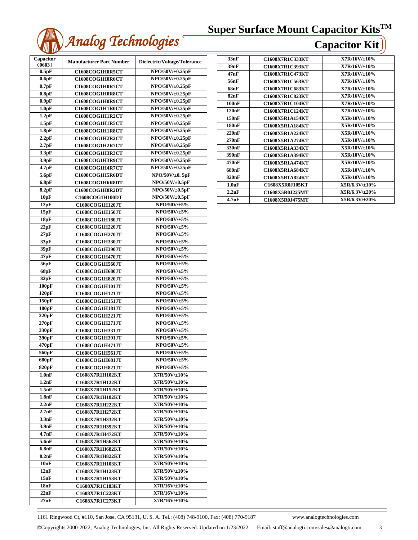

| Capacitor<br>(0603) | <b>Manufacturer Part Number</b> | Dielectric/Voltage/Tolerance |
|---------------------|---------------------------------|------------------------------|
| 0.5pF               | C1608COG1H0R5CT                 | NPO/50V/±0.25pF              |
| 0.6pF               | C1608COG1H0R6CT                 | NPO/50V/±0.25pF              |
| $0.7$ pF            | C1608COG1H0R7CT                 | NPO/50V/±0.25pF              |
| 0.8pF               | C1608COG1H0R8CT                 | NPO/50V/±0.25pF              |
| 0.9 <sub>pF</sub>   | C1608COG1H0R9CT                 | NPO/50V/±0.25pF              |
| 1.0 <sub>pF</sub>   | C1608COG1H1R0CT                 | NPO/50V/±0.25pF              |
| 1.2pF               | C1608COG1H1R2CT                 | NPO/50V/±0.25pF              |
| 1.5pF               | C1608COG1H1R5CT                 | NPO/50V/±0.25pF              |
| 1.8pF               | C1608COG1H1R8CT                 | NPO/50V/±0.25pF              |
| 2.2pF               | C1608COG1H2R2CT                 | NPO/50V/±0.25pF              |
| 2.7pF               | C1608COG1H2R7CT                 | NPO/50V/±0.25pF              |
| 3.3pF               | C1608COG1H3R3CT                 | NPO/50V/±0.25pF              |
| 3.9 <sub>pF</sub>   | C1608COG1H3R9CT                 | NPO/50V/±0.25pF              |
| 4.7pF               | C1608COG1H4R7CT                 | NPO/50V/±0.25pF              |
| 5.6pF               | C1608COG1H5R6DT                 | $NPO/50V/\pm 0.5pF$          |
| 6.8pF               | C1608COG1H6R8DT                 | NPO/50V/±0.5pF               |
| 8.2pF               | C1608COG1H8R2DT                 | NPO/50V/±0.5pF               |
| 10pF                | C1608COG1H100DT                 | NPO/50V/±0.5pF               |
| 12pF                | C1608COG1H120JT                 | NPO/50V/±5%                  |
| 15pF                | C1608COG1H150JT                 | NPO/50V/±5%                  |
| 18pF                | C1608COG1H180JT                 | NPO/50V/±5%                  |
| 22pF                | C1608COG1H220JT                 | NPO/50V/±5%                  |
| 27pF                | C1608COG1H270JT                 | NPO/50V/±5%                  |
| 33pF                | C1608COG1H330JT                 | NPO/50V/±5%                  |
| 39pF                | C1608COG1H390JT                 | $NPO/50V/5\%$                |
| 47pF                | <b>C1608COG1H470JT</b>          | NPO/50V/±5%                  |
| 56pF                | C1608COG1H560JT                 | $NPO/50V/5\%$                |
| 68pF                | C1608COG1H680JT                 | $NPO/50V/5\%$                |
| 82pF                | C1608COG1H820JT                 | NPO/50V/±5%                  |
| 100pF               | C1608COG1H101JT                 | NPO/50V/±5%                  |
| 120pF               | C1608COG1H121JT                 | NPO/50V/±5%                  |
| 150pF               | C1608COG1H151JT                 | NPO/50V/±5%                  |
| 180pF               | C1608COG1H181JT                 | NPO/50V/±5%                  |
| 220pF               | C1608COG1H221JT                 | NPO/50V/±5%                  |
| 270pF               | C1608COG1H271JT                 | NPO/50V/±5%                  |
| 330pF               | C1608COG1H331JT                 | NPO/50V/±5%                  |
| 390 <sub>pF</sub>   | C1608COG1H391JT                 | NPO/50V/±5%                  |
| 470pF               | C1608COG1H471JT                 | $NPO/50V/5\%$                |
| 560pF               | C1608COG1H561JT                 | NPO/50V/±5%                  |
| 680pF               | <b>C1608COG1H681JT</b>          | NPO/50V/±5%                  |
| 820pF               | C1608COG1H821JT                 | $NPO/50V/5\%$                |
| $1.0$ n $\bf{F}$    | <b>C1608X7R1H102KT</b>          | X7R/50V/±10%                 |
| 1.2nF               | C1608X7R1H122KT                 | $X7R/50V/\pm 10\%$           |
| 1.5nF               | C1608X7R1H152KT                 | X7R/50V/±10%                 |
| 1.8nF               | C1608X7R1H182KT                 | $X7R/50V/\pm 10\%$           |
| 2.2nF               | C1608X7R1H222KT                 | X7R/50V/±10%                 |
| 2.7nF               | C1608X7R1H272KT                 | $X7R/50V/\pm 10\%$           |
| 3.3nF               | C1608X7R1H332KT                 | X7R/50V/±10%                 |
| 3.9nF               | C1608X7R1H392KT                 | X7R/50V/±10%                 |
| 4.7nF               | C1608X7R1H472KT                 | X7R/50V/±10%                 |
| 5.6nF               | C1608X7R1H562KT                 | X7R/50V/±10%                 |
| 6.8nF               | <b>C1608X7R1H682KT</b>          | X7R/50V/±10%                 |
| 8.2nF               | <b>C1608X7R1H822KT</b>          | X7R/50V/±10%                 |
| 10nF                | C1608X7R1H103KT                 | $X7R/50V/\pm 10\%$           |
| 12nF                | C1608X7R1H123KT                 | X7R/50V/±10%                 |
| 15nF                | <b>C1608X7R1H153KT</b>          | X7R/50V/±10%                 |
| 18nF                | <b>C1608X7R1C183KT</b>          | X7R/16V/±10%                 |
| 22nF                | <b>C1608X7R1C223KT</b>          | X7R/16V/±10%                 |
| 27nF                | C1608X7R1C273KT                 | X7R/16V/±10%                 |

| 33nF               | C1608X7R1C333KT        | X7R/16V/±10%        |
|--------------------|------------------------|---------------------|
| 39nF               | C1608X7R1C393KT        | $X7R/16V/\pm 10\%$  |
| 47nF               | C1608X7R1C473KT        | X7R/16V/110%        |
| 56nF               | C1608X7R1C563KT        | $X7R/16V/\pm 10\%$  |
| 68nF               | C1608X7R1C683KT        | $X7R/16V/\pm 10\%$  |
| 82nF               | <b>C1608X7R1C823KT</b> | $X7R/16V/\pm 10\%$  |
| 100nF              | C1608X7R1C104KT        | X7R/16V/110%        |
| 120nF              | C1608X7R1C124KT        | $X7R/16V/\pm 10\%$  |
| 150nF              | C1608X5R1A154KT        | $X5R/10V/\pm 10\%$  |
| 180nF              | C1608X5R1A184KT        | X5R/10V/110%        |
| 220nF              | C1608X5R1A224KT        | $X5R/10V/\pm 10\%$  |
| 270nF              | C1608X5R1A274KT        | X5R/10V/±10%        |
| 330nF              | C1608X5R1A334KT        | X5R/10V/110%        |
| 390 <sub>n</sub> F | C1608X5R1A394KT        | $X5R/10V/\pm 10\%$  |
| 470 <sub>n</sub> F | C1608X5R1A474KT        | X5R/10V/±10%        |
| 680nF              | C1608X5R1A684KT        | X5R/10V/110%        |
| 820 <sub>n</sub> F | C1608X5R1A824KT        | X5R/10V/±10%        |
| 1.0 <sub>u</sub> F | <b>C1608X5R0J105KT</b> | $X5R/6.3V/\pm 10\%$ |
| 2.2nF              | C1608X5R0J225MT        | $X5R/6.3V/\pm 20\%$ |
| 4.7 <sub>u</sub> F | C1608X5R0J475MT        | $X5R/6.3V/+20%$     |
|                    |                        |                     |

1161 Ringwood Ct, #110, San Jose, CA 95131, U. S. A. Tel.: (408) 748-9100, Fax: (408) 770-9187 www.analogtechnologies.com

Copyrights 2000-2022, Analog Technologies, Inc. All Rights Reserved. Updated on 1/23/2022 Email: staff@analogti.com/sales@analogti.com 3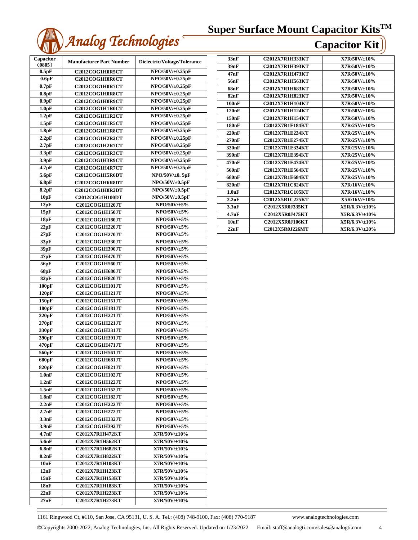

| Capacitor<br>(0805) | <b>Manufacturer Part Number</b> | Dielectric/Voltage/Tolerance |
|---------------------|---------------------------------|------------------------------|
| 0.5pF               | C2012COG1H0R5CT                 | NPO/50V/±0.25pF              |
| 0.6pF               | C2012COG1H0R6CT                 | NPO/50V/±0.25pF              |
| 0.7pF               | C2012COG1H0R7CT                 | NPO/50V/±0.25pF              |
| 0.8pF               | C2012COG1H0R8CT                 | NPO/50V/±0.25pF              |
| 0.9 <sub>pF</sub>   | C2012COG1H0R9CT                 | NPO/50V/±0.25pF              |
| 1.0pF               | C2012COG1H1R0CT                 | NPO/50V/±0.25pF              |
| 1.2pF               | C2012COG1H1R2CT                 | NPO/50V/±0.25pF              |
| 1.5pF               | C2012COG1H1R5CT                 | NPO/50V/±0.25pF              |
| 1.8pF               | C2012COG1H1R8CT                 | NPO/50V/±0.25pF              |
| 2.2pF               | C2012COG1H2R2CT                 | NPO/50V/±0.25pF              |
| 2.7pF               | C2012COG1H2R7CT                 | NPO/50V/±0.25pF              |
| 3.3pF               | C2012COG1H3R3CT                 | NPO/50V/±0.25pF              |
| 3.9 <sub>pF</sub>   | C2012COG1H3R9CT                 | NPO/50V/±0.25pF              |
| 4.7pF               | C2012COG1H4R7CT                 | NPO/50V/±0.25pF              |
|                     |                                 | NPO/50V/±0.5pF               |
| 5.6pF<br>6.8pF      | C2012COG1H5R6DT                 | NPO/50V/±0.5pF               |
|                     | C2012COG1H6R8DT                 |                              |
| 8.2pF               | C2012COG1H8R2DT                 | NPO/50V/±0.5pF               |
| 10pF                | <b>C2012COG1H100DT</b>          | NPO/50V/±0.5pF               |
| 12pF                | C2012COG1H120JT                 | NPO/50V/±5%                  |
| 15pF                | <b>C2012COG1H150JT</b>          | NPO/50V/±5%                  |
| 18pF                | <b>C2012COG1H180JT</b>          | NPO/50V/±5%                  |
| 22pF                | <b>C2012COG1H220JT</b>          | $NPO/50V/5\%$                |
| 27pF                | <b>C2012COG1H270JT</b>          | NPO/50V/±5%                  |
| 33pF                | <b>C2012COG1H330JT</b>          | NPO/50V/±5%                  |
| 39pF                | <b>C2012COG1H390JT</b>          | NPO/50V/±5%                  |
| 47pF                | <b>C2012COG1H470JT</b>          | NPO/50V/±5%                  |
| 56pF                | C2012COG1H560JT                 | NPO/50V/±5%                  |
| 68pF                | C2012COG1H680JT                 | NPO/50V/±5%                  |
| 82pF                | <b>C2012COG1H820JT</b>          | $NPO/50V/\pm 5%$             |
| 100pF               | <b>C2012COG1H101JT</b>          | NPO/50V/±5%                  |
| 120pF               | <b>C2012COG1H121JT</b>          | NPO/50V/±5%                  |
| 150pF               | C2012COG1H151JT                 | $NPO/50V/\pm 5%$             |
| 180 <sub>pF</sub>   | <b>C2012COG1H181JT</b>          | $NPO/50V/5\%$                |
| 220pF               | C2012COG1H221JT                 | NPO/50V/±5%                  |
| 270pF               | <b>C2012COG1H221JT</b>          | NPO/50V/±5%                  |
| 330 <sub>pF</sub>   | <b>C2012COG1H331JT</b>          | NPO/50V/±5%                  |
| 390 <sub>pF</sub>   | C2012COG1H391JT                 | NPO/50V/±5%                  |
| 470pF               | C2012COG1H471JT                 | NPO/50V/±5%                  |
| 560pF               | <b>C2012COG1H561JT</b>          | NPO/50V/±5%                  |
| 680pF               | C2012COG1H681JT                 | NPO/50V/±5%                  |
| 820 <sub>pF</sub>   | <b>C2012COG1H821JT</b>          | $NPO/50V/\pm 5%$             |
| $1.0$ n $\bf{F}$    | C2012COG1H102JT                 | $NPO/50V/5\%$                |
| 1.2nF               | <b>C2012COG1H122JT</b>          | $NPO/50V/5\%$                |
| 1.5nF               | <b>C2012COG1H152JT</b>          | $NPO/50V/5\%$                |
| 1.8nF               | C2012COG1H182JT                 | NPO/50V/±5%                  |
| 2.2nF               | <b>C2012COG1H222JT</b>          | $NPO/50V/5\%$                |
| 2.7nF               | <b>C2012COG1H272JT</b>          | $NPO/50V/5\%$                |
| 3.3nF               | C2012COG1H332JT                 | $NPO/50V/\pm 5%$             |
| 3.9nF               | <b>C2012COG1H392JT</b>          | NPO/50V/±5%                  |
| 4.7nF               | <b>C2012X7R1H472KT</b>          | X7R/50V/±10%                 |
| 5.6nF               | C2012X7R1H562KT                 | X7R/50V/±10%                 |
| 6.8nF               | C2012X7R1H682KT                 | X7R/50V/±10%                 |
| 8.2nF               | C2012X7R1H822KT                 | X7R/50V/±10%                 |
| 10nF                | <b>C2012X7R1H103KT</b>          | $X7R/50V/\pm 10\%$           |
| 12nF                | C2012X7R1H123KT                 | $X7R/50V/\pm 10\%$           |
|                     |                                 |                              |
| 15nF                | C2012X7R1H153KT                 | X7R/50V/±10%                 |
| 18nF                | <b>C2012X7R1H183KT</b>          | X7R/50V/±10%                 |
| 22nF                | <b>C2012X7R1H223KT</b>          | X7R/50V/±10%                 |
| 27nF                | <b>C2012X7R1H273KT</b>          | $X7R/50V/\pm 10\%$           |

| 33nF               | <b>C2012X7R1H333KT</b> | X7R/50V/±10%       |
|--------------------|------------------------|--------------------|
| 39nF               | <b>C2012X7R1H393KT</b> | $X7R/50V/\pm10\%$  |
| 47nF               | <b>C2012X7R1H473KT</b> | $X7R/50V/\pm10\%$  |
| 56nF               | <b>C2012X7R1H563KT</b> | $X7R/50V/\pm10\%$  |
| 68nF               | <b>C2012X7R1H683KT</b> | $X7R/50V/\pm10\%$  |
| 82nF               | <b>C2012X7R1H823KT</b> | $X7R/50V/\pm10\%$  |
| 100nF              | C2012X7R1H104KT        | $X7R/50V/\pm10\%$  |
| 120nF              | <b>C2012X7R1H124KT</b> | $X7R/50V/\pm10\%$  |
| 150nF              | <b>C2012X7R1H154KT</b> | $X7R/50V/\pm10\%$  |
| 180 <sub>n</sub> F | <b>C2012X7R1E184KT</b> | $X7R/25V/\pm 10\%$ |
| 220nF              | <b>C2012X7R1E224KT</b> | $X7R/25V/\pm 10\%$ |
| 270nF              | <b>C2012X7R1E274KT</b> | $X7R/25V/\pm 10\%$ |
| 330 <sub>nF</sub>  | <b>C2012X7R1E334KT</b> | $X7R/25V/\pm 10\%$ |
| 390 <sub>nF</sub>  | <b>C2012X7R1E394KT</b> | $X7R/25V/\pm 10\%$ |
| 470 <sub>n</sub> F | <b>C2012X7R1E474KT</b> | $X7R/25V/\pm 10\%$ |
| 560 <sub>nF</sub>  | C2012X7R1E564KT        | $X7R/25V/\pm 10\%$ |
| 680nF              | <b>C2012X7R1E684KT</b> | $X7R/25V/\pm 10\%$ |
| 820 <sub>nF</sub>  | <b>C2012X7R1C824KT</b> | $X7R/16V/\pm 10\%$ |
| 1.0 <sub>u</sub> F | <b>C2012X7R1C105KT</b> | X7R/16V/110%       |
| 2.2uF              | C2012X5R1C225KT        | $X5R/16V/\pm 10\%$ |
| 3.3 <sub>u</sub> F | <b>C2012X5R0J335KT</b> | $X5R/6.3V/\pm10\%$ |
| 4.7 <sub>u</sub> F | C2012X5R0J475KT        | $X5R/6.3V/\pm10\%$ |
| 10uF               | <b>C2012X5R0J106KT</b> | X5R/6.3V/±10%      |
| 22uF               | C2012X5R0J226MT        | X5R/6.3V/±20%      |
|                    |                        |                    |

1161 Ringwood Ct, #110, San Jose, CA 95131, U. S. A. Tel.: (408) 748-9100, Fax: (408) 770-9187 www.analogtechnologies.com

Copyrights 2000-2022, Analog Technologies, Inc. All Rights Reserved. Updated on 1/23/2022 Email: staff@analogti.com/sales@analogti.com 4